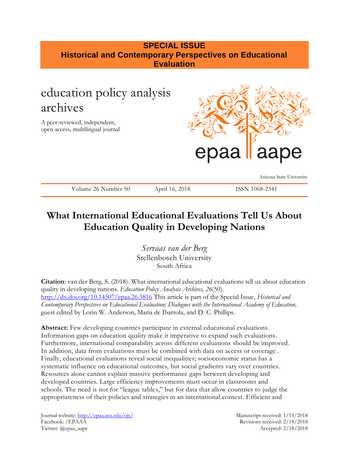## **SPECIAL ISSUE Historical and Contemporary Perspectives on Educational Evaluation**

# education policy analysis archives

A peer-reviewed, independent, open access, multilingual journal



Arizona State University

Volume 26 Number 50 April 16, 2018 ISSN 1068-2341

## **What International Educational Evaluations Tell Us About Education Quality in Developing Nations**

*Servaas van der Berg*  Stellenbosch University South Africa

**Citation**: van der Berg, S. (2018). What international educational evaluations tell us about education quality in developing nations. *Education Policy Analysis Archives, 26*(50). <http://dx.doi.org/10.14507/epaa.26.3816> This article is part of the Special Issue, *Historical and Contemporary Perspectives on Educational Evaluation: Dialogues with the International Academy of Education,*  guest edited by Lorin W. Anderson, Maria de Ibarrola, and D. C. Phillips.

**Abstract:** Few developing countries participate in external educational evaluations. Information gaps on education quality make it imperative to expand such evaluations. Furthermore, international comparability across different evaluations should be improved. In addition, data from evaluations must be combined with data on access or coverage . Finally, educational evaluations reveal social inequalities; socioeconomic status has a systematic influence on educational outcomes, but social gradients vary over countries. Resources alone cannot explain massive performance gaps between developing and developed countries. Large efficiency improvements must occur in classrooms and schools. The need is not for "league tables," but for data that allow countries to judge the appropriateness of their policies and strategies in an international context. Efficient and

Journal website:<http://epaa.asu.edu/ojs/> Manuscript received: 1/15/2018 Facebook: /EPAAA Revisions received: 2/18/2018 Twitter: @epaa\_aape Accepted: 2/18/2018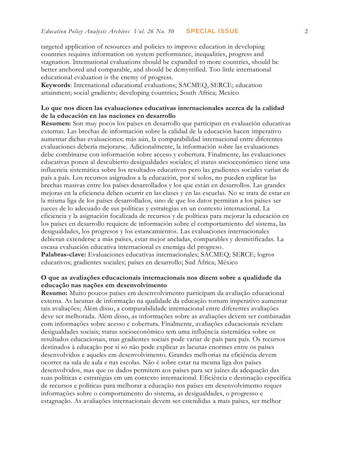targeted application of resources and policies to improve education in developing countries requires information on system performance, inequalities, progress and stagnation. International evaluations should be expanded to more countries, should be better anchored and comparable, and should be demystified. Too little international educational evaluation is the enemy of progress.

**Keywords**: International educational evaluations; SACMEQ, SERCE; education attainment; social gradients; developing countries; South Africa; Mexico

### **Lo que nos dicen las evaluaciones educativas internacionales acerca de la calidad de la educación en las naciones en desarrollo**

**Resumen:** Son muy pocos los países en desarrollo que participan en evaluación educativas externas. Las brechas de información sobre la calidad de la educación hacen imperativo aumentar dichas evaluaciones; más aún, la comparabilidad internacional entre diferentes evaluaciones debería mejorarse. Adicionalmente, la información sobre las evaluaciones debe combinarse con información sobre acceso y cobertura. Finalmente, las evaluaciones educativas ponen al descubierto desigualdades sociales; el status socioeconómico tiene una influencia sistemática sobre los resultados educativos pero las gradientes sociales varían de país a país. Los recursos asignados a la educación, por sí solos, no pueden explicar las brechas masivas entre los países desarrollados y los que están en desarrollos. Las grandes mejoras en la eficiencia deben ocurrir en las clases y en las escuelas. No se trata de estar en la misma liga de los países desarrollados, sino de que los datos permitan a los países ser jueces de lo adecuado de sus políticas y estrategias en un contexto internacional. La eficiencia y la asignación focalizada de recursos y de políticas para mejorar la educación en los países en desarrollo requiere de información sobre el comportamiento del sistema, las desigualdades, los progresos y los estancamientos. Las evaluaciones internacionales debieran extenderse a más países, estar mejor ancladas, comparables y desmitificadas. La escasa evaluación educativa internacional es enemiga del progreso.

**Palabras-clave:** Evaluaciones educativas internacionales; SACMEQ; SERCE; logros educativos; gradientes sociales; países en desarrollo; Sud África; México

### **O que as avaliações educacionais internacionais nos dizem sobre a qualidade da educação nas nações em desenvolvimento**

**Resumo:** Muito poucos países em desenvolvimento participam da avaliação educacional externa. As lacunas de informação na qualidade da educação tornam imperativo aumentar tais avaliações; Além disso, a comparabilidade internacional entre diferentes avaliações deve ser melhorada. Além disso, as informações sobre as avaliações devem ser combinadas com informações sobre acesso e cobertura. Finalmente, avaliações educacionais revelam desigualdades sociais; status socioeconômico tem uma influência sistemática sobre os resultados educacionais, mas gradientes sociais pode variar de país para país. Os recursos destinados à educação por si só não pode explicar as lacunas enormes entre os países desenvolvidos e aqueles em desenvolvimento. Grandes melhorias na eficiência devem ocorrer na sala de aula e nas escolas. Não é sobre estar na mesma liga dos países desenvolvidos, mas que os dados permitem aos países para ser juízes da adequação das suas políticas e estratégias em um contexto internacional. Eficiência e destinação específica de recursos e políticas para melhorar a educação nos países em desenvolvimento requer informações sobre o comportamento do sistema, as desigualdades, o progresso e estagnação. As avaliações internacionais devem ser estendidas a mais países, ser melhor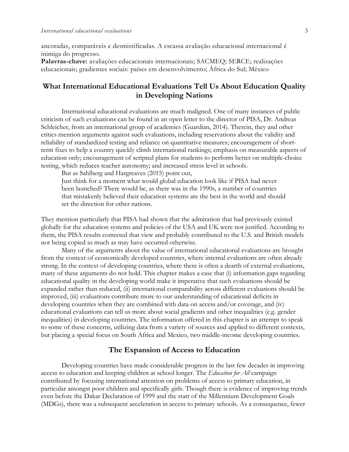ancoradas, comparáveis e desmistificadas. A escassa avaliação educacional internacional é inimiga do progresso. **Palavras-chave:** avaliações educacionais internacionais; SACMEQ; SERCE; realizações educacionais; gradientes sociais: países em desenvolvimento; África do Sul; México

## **What International Educational Evaluations Tell Us About Education Quality in Developing Nations**

International educational evaluations are much maligned. One of many instances of public criticism of such evaluations can be found in an open letter to the director of PISA, Dr. Andreas Schleicher, from an international group of academics (Guardian, 2014). Therein, they and other critics mention arguments against such evaluations, including reservations about the validity and reliability of standardized testing and reliance on quantitative measures; encouragement of shortterm fixes to help a country quickly climb international rankings; emphasis on measurable aspects of education only; encouragement of scripted plans for students to perform better on multiple-choice testing, which reduces teacher autonomy; and increased stress level in schools.

But as Sahlberg and Hargreaves (2015) point out,

Just think for a moment what would global education look like if PISA had never been launched? There would be, as there was in the 1990s, a number of countries that mistakenly believed their education systems are the best in the world and should set the direction for other nations.

They mention particularly that PISA had shown that the admiration that had previously existed globally for the education systems and policies of the USA and UK were not justified. According to them, the PISA results corrected that view and probably contributed to the U.S. and British models not being copied as much as may have occurred otherwise.

Many of the arguments about the value of international educational evaluations are brought from the context of economically developed countries, where internal evaluations are often already strong. In the context of developing countries, where there is often a dearth of external evaluations, many of these arguments do not hold. This chapter makes a case that (i) information gaps regarding educational quality in the developing world make it imperative that such evaluations should be expanded rather than reduced, (ii) international comparability across different evaluations should be improved, (iii) evaluations contribute more to our understanding of educational deficits in developing countries when they are combined with data on access and/or coverage, and (iv) educational evaluations can tell us more about social gradients and other inequalities (e.g. gender inequalities) in developing countries. The information offered in this chapter is an attempt to speak to some of these concerns, utilizing data from a variety of sources and applied to different contexts, but placing a special focus on South Africa and Mexico, two middle-income developing countries.

#### **The Expansion of Access to Education**

Developing countries have made considerable progress in the last few decades in improving access to education and keeping children at school longer. The *Education for All* campaign contributed by focusing international attention on problems of access to primary education, in particular amongst poor children and specifically girls. Though there is evidence of improving trends even before the Dakar Declaration of 1999 and the start of the Millennium Development Goals (MDGs), there was a subsequent acceleration in access to primary schools. As a consequence, fewer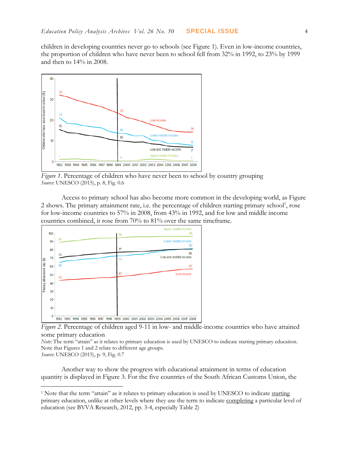children in developing countries never go to schools (see Figure 1). Even in low-income countries, the proportion of children who have never been to school fell from 32% in 1992, to 23% by 1999 and then to 14% in 2008.



*Figure 1*. Percentage of children who have never been to school by country grouping *Source*: UNESCO (2015), p. 8, Fig. 0.6

Access to primary school has also become more common in the developing world, as Figure 2 shows. The primary attainment rate, i.e. the percentage of children starting primary school<sup>1</sup>, rose for low-income countries to 57% in 2008, from 43% in 1992, and for low and middle income countries combined, it rose from 70% to 81% over the same timeframe.



*Figure 2*. Percentage of children aged 9-11 in low- and middle-income countries who have attained some primary education

*Note:* The term "attain" as it relates to primary education is used by UNESCO to indicate starting primary education. Note that Figures 1 and 2 relate to different age groups.

*Source*: UNESCO (2015), p. 9, Fig. 0.7

 $\overline{a}$ 

Another way to show the progress with educational attainment in terms of education quantity is displayed in Figure 3. For the five countries of the South African Customs Union, the

<sup>&</sup>lt;sup>1</sup> Note that the term "attain" as it relates to primary education is used by UNESCO to indicate starting primary education, unlike at other levels where they use the term to indicate completing a particular level of education (see BVVA Research, 2012, pp. 3-4, especially Table 2)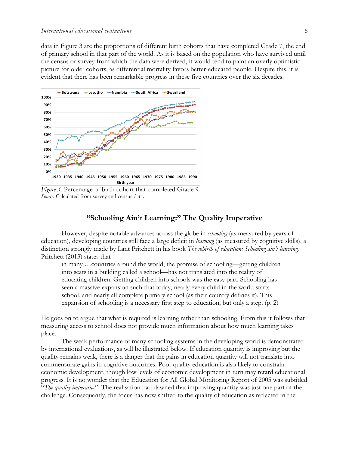data in Figure 3 are the proportions of different birth cohorts that have completed Grade 7, the end of primary school in that part of the world. As it is based on the population who have survived until the census or survey from which the data were derived, it would tend to paint an overly optimistic picture for older cohorts, as differential mortality favors better-educated people. Despite this, it is evident that there has been remarkable progress in these five countries over the six decades.



*Figure 3*. Percentage of birth cohort that completed Grade 9 *Source:* Calculated from survey and census data.

## **"Schooling Ain't Learning:" The Quality Imperative**

However, despite notable advances across the globe in *schooling* (as measured by years of education), developing countries still face a large deficit in *learning* (as measured by cognitive skills), a distinction strongly made by Lant Pritchett in his book *The rebirth of education: Schooling ain't learning.* Pritchett (2013) states that

in many …countries around the world, the promise of schooling—getting children into seats in a building called a school—has not translated into the reality of educating children. Getting children into schools was the easy part. Schooling has seen a massive expansion such that today, nearly every child in the world starts school, and nearly all complete primary school (as their country defines it). This expansion of schooling is a necessary first step to education, but only a step. (p. 2)

He goes on to argue that what is required is learning rather than schooling. From this it follows that measuring access to school does not provide much information about how much learning takes place.

The weak performance of many schooling systems in the developing world is demonstrated by international evaluations, as will be illustrated below. If education quantity is improving but the quality remains weak, there is a danger that the gains in education quantity will not translate into commensurate gains in cognitive outcomes. Poor quality education is also likely to constrain economic development, though low levels of economic development in turn may retard educational progress. It is no wonder that the Education for All Global Monitoring Report of 2005 was subtitled "*The quality imperative*". The realisation had dawned that improving quantity was just one part of the challenge. Consequently, the focus has now shifted to the quality of education as reflected in the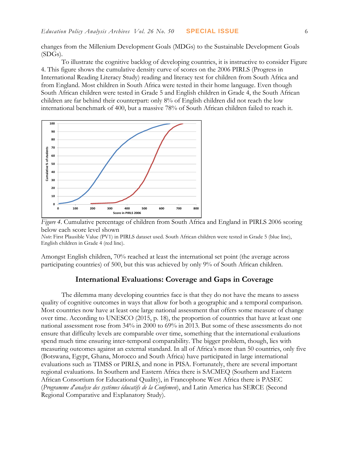changes from the Millenium Development Goals (MDGs) to the Sustainable Development Goals (SDGs).

To illustrate the cognitive backlog of developing countries, it is instructive to consider Figure 4. This figure shows the cumulative density curve of scores on the 2006 PIRLS (Progress in International Reading Literacy Study) reading and literacy test for children from South Africa and from England. Most children in South Africa were tested in their home language. Even though South African children were tested in Grade 5 and English children in Grade 4, the South African children are far behind their counterpart: only 8% of English children did not reach the low international benchmark of 400, but a massive 78% of South African children failed to reach it.





*Note*: First Plausible Value (PV1) in PIRLS dataset used. South African children were tested in Grade 5 (blue line), English children in Grade 4 (red line).

Amongst English children, 70% reached at least the international set point (the average across participating countries) of 500, but this was achieved by only 9% of South African children.

## **International Evaluations: Coverage and Gaps in Coverage**

The dilemma many developing countries face is that they do not have the means to assess quality of cognitive outcomes in ways that allow for both a geographic and a temporal comparison. Most countries now have at least one large national assessment that offers some measure of change over time. According to UNESCO (2015, p. 18), the proportion of countries that have at least one national assessment rose from 34% in 2000 to 69% in 2013. But some of these assessments do not ensure that difficulty levels are comparable over time, something that the international evaluations spend much time ensuring inter-temporal comparability. The bigger problem, though, lies with measuring outcomes against an external standard. In all of Africa's more than 50 countries, only five (Botswana, Egypt, Ghana, Morocco and South Africa) have participated in large international evaluations such as TIMSS or PIRLS, and none in PISA. Fortunately, there are several important regional evaluations. In Southern and Eastern Africa there is SACMEQ (Southern and Eastern African Consortium for Educational Quality), in Francophone West Africa there is PASEC (*Programme d'analyse des systèmes éducatifs de la Confemen*), and Latin America has SERCE (Second Regional Comparative and Explanatory Study).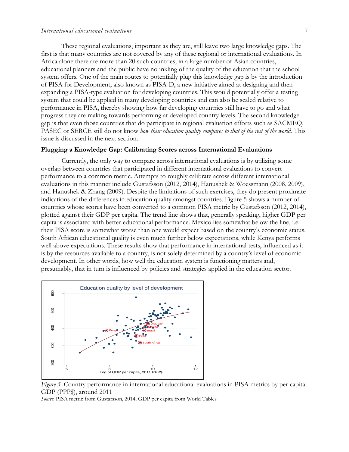#### *International educational evaluations* 7

These regional evaluations, important as they are, still leave two large knowledge gaps. The first is that many countries are not covered by any of these regional or international evaluations. In Africa alone there are more than 20 such countries; in a large number of Asian countries, educational planners and the public have no inkling of the quality of the education that the school system offers. One of the main routes to potentially plug this knowledge gap is by the introduction of PISA for Development, also known as PISA-D, a new initiative aimed at designing and then expanding a PISA-type evaluation for developing countries. This would potentially offer a testing system that could be applied in many developing countries and can also be scaled relative to performance in PISA, thereby showing how far developing countries still have to go and what progress they are making towards performing at developed country levels. The second knowledge gap is that even those countries that do participate in regional evaluation efforts such as SACMEQ, PASEC or SERCE still do not know *how their education quality compares to that of the rest of the world*. This issue is discussed in the next section.

#### **Plugging a Knowledge Gap: Calibrating Scores across International Evaluations**

Currently, the only way to compare across international evaluations is by utilizing some overlap between countries that participated in different international evaluations to convert performance to a common metric. Attempts to roughly calibrate across different international evaluations in this manner include Gustafsson (2012, 2014), Hanushek & Woessmann (2008, 2009), and Hanushek & Zhang (2009). Despite the limitations of such exercises, they do present proximate indications of the differences in education quality amongst countries. Figure 5 shows a number of countries whose scores have been converted to a common PISA metric by Gustafsson (2012, 2014), plotted against their GDP per capita. The trend line shows that, generally speaking, higher GDP per capita is associated with better educational performance. Mexico lies somewhat below the line, i.e. their PISA score is somewhat worse than one would expect based on the country's economic status. South African educational quality is even much further below expectations, while Kenya performs well above expectations. These results show that performance in international tests, influenced as it is by the resources available to a country, is not solely determined by a country's level of economic development. In other words, how well the education system is functioning matters and, presumably, that in turn is influenced by policies and strategies applied in the education sector.





*Source*: PISA metric from Gustafsson, 2014; GDP per capita from World Tables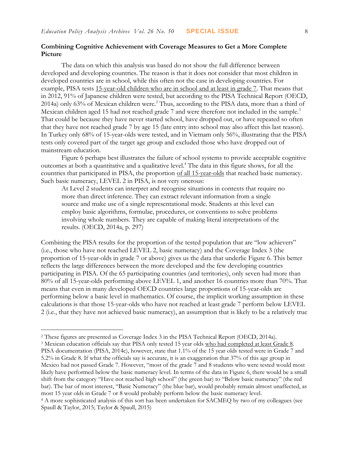### **Combining Cognitive Achievement with Coverage Measures to Get a More Complete Picture**

The data on which this analysis was based do not show the full difference between developed and developing countries. The reason is that it does not consider that most children in developed countries are in school, while this often not the case in developing countries. For example, PISA tests 15-year-old children who are in school and at least in grade 7. That means that in 2012, 91% of Japanese children were tested, but according to the PISA Technical Report (OECD, 2014a) only 63% of Mexican children were.<sup>2</sup> Thus, according to the PISA data, more than a third of Mexican children aged 15 had not reached grade 7 and were therefore not included in the sample.<sup>3</sup> That could be because they have never started school, have dropped out, or have repeated so often that they have not reached grade 7 by age 15 (late entry into school may also affect this last reason). In Turkey only 68% of 15-year-olds were tested, and in Vietnam only 56%, illustrating that the PISA tests only covered part of the target age group and excluded those who have dropped out of mainstream education.

Figure 6 perhaps best illustrates the failure of school systems to provide acceptable cognitive outcomes at both a quantitative and a qualitative level.<sup>4</sup> The data in this figure shows, for all the countries that participated in PISA, the proportion of all 15-year-olds that reached basic numeracy. Such basic numeracy, LEVEL 2 in PISA, is not very onerous:

At Level 2 students can interpret and recognise situations in contexts that require no more than direct inference. They can extract relevant information from a single source and make use of a single representational mode. Students at this level can employ basic algorithms, formulae, procedures, or conventions to solve problems involving whole numbers. They are capable of making literal interpretations of the results. (OECD, 2014a, p. 297)

Combining the PISA results for the proportion of the tested population that are "low achievers" (i.e., those who have not reached LEVEL 2, basic numeracy) and the Coverage Index 3 (the proportion of 15-year-olds in grade 7 or above) gives us the data that underlie Figure 6. This better reflects the large differences between the more developed and the few developing countries participating in PISA. Of the 65 participating countries (and territories), only seven had more than 80% of all 15-year-olds performing above LEVEL 1, and another 16 countries more than 70%. That means that even in many developed OECD countries large proportions of 15-year-olds are performing below a basic level in mathematics. Of course, the implicit working assumption in these calculations is that those 15-year-olds who have not reached at least grade 7 perform below LEVEL 2 (i.e., that they have not achieved basic numeracy), an assumption that is likely to be a relatively true

 $\overline{a}$ 

<sup>2</sup> These figures are presented as Coverage Index 3 in the PISA Technical Report (OECD, 2014a).

<sup>&</sup>lt;sup>3</sup> Mexican education officials say that PISA only tested 15 year olds who had completed at least Grade 8. PISA documentation (PISA, 2014c), however, state that 1.1% of the 15 year olds tested were in Grade 7 and 5.2% in Grade 8. If what the officials say is accurate, it is an exaggeration that 37% of this age group in Mexico had not passed Grade 7. However, "most of the grade 7 and 8 students who were tested would most likely have performed below the basic numeracy level. In terms of the data in Figure 6, there would be a small shift from the category "Have not reached high school" (the green bar) to "Below basic numeracy" (the red bar). The bar of most interest, "Basic Numeracy" (the blue bar), would probably remain almost unaffected, as most 15 year olds in Grade 7 or 8 would probably perform below the basic numeracy level.

<sup>4</sup> A more sophisticated analysis of this sort has been undertaken for SACMEQ by two of my colleagues (see Spaull & Taylor, 2015; Taylor & Spaull, 2015)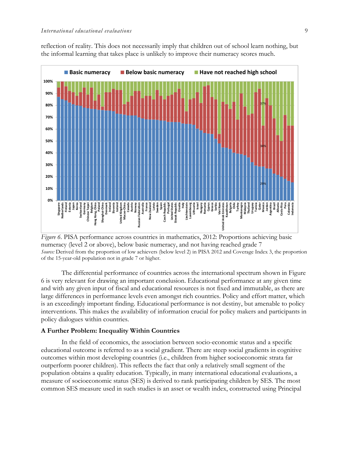reflection of reality. This does not necessarily imply that children out of school learn nothing, but the informal learning that takes place is unlikely to improve their numeracy scores much.





The differential performance of countries across the international spectrum shown in Figure 6 is very relevant for drawing an important conclusion. Educational performance at any given time and with any given input of fiscal and educational resources is not fixed and immutable, as there are large differences in performance levels even amongst rich countries. Policy and effort matter, which is an exceedingly important finding. Educational performance is not destiny, but amenable to policy interventions. This makes the availability of information crucial for policy makers and participants in policy dialogues within countries.

#### **A Further Problem: Inequality Within Countries**

In the field of economics, the association between socio-economic status and a specific educational outcome is referred to as a social gradient. There are steep social gradients in cognitive outcomes within most developing countries (i.e., children from higher socioeconomic strata far outperform poorer children). This reflects the fact that only a relatively small segment of the population obtains a quality education. Typically, in many international educational evaluations, a measure of socioeconomic status (SES) is derived to rank participating children by SES. The most common SES measure used in such studies is an asset or wealth index, constructed using Principal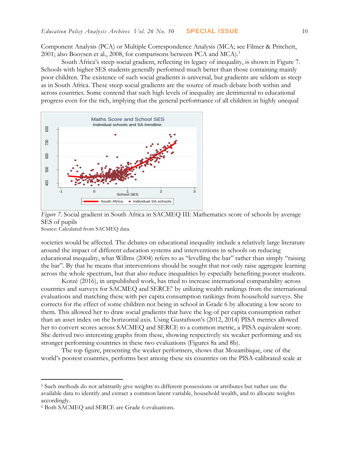Component Analysis (PCA) or Multiple Correspondence Analysis (MCA; see Filmer & Pritchett, 2001; also Booysen et al., 2008, for comparisons between PCA and MCA).<sup>5</sup>

South Africa's steep social gradient, reflecting its legacy of inequality, is shown in Figure 7. Schools with higher SES students generally performed much better than those containing mainly poor children. The existence of such social gradients is universal, but gradients are seldom as steep as in South Africa. These steep social gradients are the source of much debate both within and across countries. Some contend that such high levels of inequality are detrimental to educational progress even for the rich, implying that the general performance of all children in highly unequal



*Figure 7.* Social gradient in South Africa in SACMEQ III: Mathematics score of schools by average SES of pupils

Source: Calculated from SACMEQ data.

societies would be affected. The debates on educational inequality include a relatively large literature around the impact of different education systems and interventions in schools on reducing educational inequality, what Willms (2004) refers to as "levelling the bar" rather than simply "raising the bar". By that he means that interventions should be sought that not only raise aggregate learning across the whole spectrum, but that also reduce inequalities by especially benefiting poorer students.

Kotzé (2016), in unpublished work, has tried to increase international comparability across countries and surveys for SACMEQ and SERCE<sup>6</sup> by utilizing wealth rankings from the international evaluations and matching these with per capita consumption rankings from household surveys. She corrects for the effect of some children not being in school in Grade 6 by allocating a low score to them. This allowed her to draw social gradients that have the log of per capita consumption rather than an asset index on the horizontal axis. Using Gustafsson's (2012, 2014) PISA metrics allowed her to convert scores across SACMEQ and SERCE to a common metric, a PISA equivalent score. She derived two interesting graphs from these, showing respectively six weaker performing and six stronger performing countries in these two evaluations (Figures 8a and 8b).

The top figure, presenting the weaker performers, shows that Mozambique, one of the world's poorest countries, performs best among these six countries on the PISA-calibrated scale at

 $\overline{a}$ 

<sup>5</sup> Such methods do not arbitrarily give weights to different possessions or attributes but rather use the available data to identify and extract a common latent variable, household wealth, and to allocate weights accordingly.

<sup>6</sup> Both SACMEQ and SERCE are Grade 6 evaluations.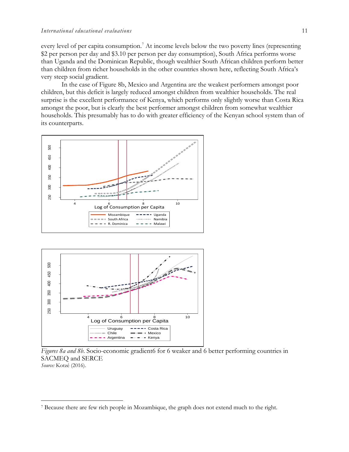every level of per capita consumption.<sup>7</sup> At income levels below the two poverty lines (representing \$2 per person per day and \$3.10 per person per day consumption), South Africa performs worse than Uganda and the Dominican Republic, though wealthier South African children perform better than children from richer households in the other countries shown here, reflecting South Africa's very steep social gradient.

In the case of Figure 8b, Mexico and Argentina are the weakest performers amongst poor children, but this deficit is largely reduced amongst children from wealthier households. The real surprise is the excellent performance of Kenya, which performs only slightly worse than Costa Rica amongst the poor, but is clearly the best performer amongst children from somewhat wealthier households. This presumably has to do with greater efficiency of the Kenyan school system than of its counterparts.





 $\overline{a}$ 

*Figures 8a and 8b*. Socio-economic gradient6 for 6 weaker and 6 better performing countries in SACMEQ and SERCE *Source:* Kotzé (2016).

<sup>7</sup> Because there are few rich people in Mozambique, the graph does not extend much to the right.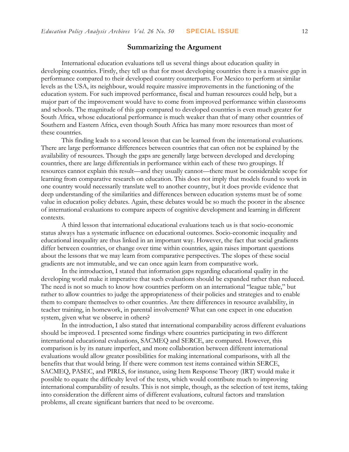### **Summarizing the Argument**

International education evaluations tell us several things about education quality in developing countries. Firstly, they tell us that for most developing countries there is a massive gap in performance compared to their developed country counterparts. For Mexico to perform at similar levels as the USA, its neighbour, would require massive improvements in the functioning of the education system. For such improved performance, fiscal and human resources could help, but a major part of the improvement would have to come from improved performance within classrooms and schools. The magnitude of this gap compared to developed countries is even much greater for South Africa, whose educational performance is much weaker than that of many other countries of Southern and Eastern Africa, even though South Africa has many more resources than most of these countries.

This finding leads to a second lesson that can be learned from the international evaluations. There are large performance differences between countries that can often not be explained by the availability of resources. Though the gaps are generally large between developed and developing countries, there are large differentials in performance within each of these two groupings. If resources cannot explain this result—and they usually cannot—there must be considerable scope for learning from comparative research on education. This does not imply that models found to work in one country would necessarily translate well to another country, but it does provide evidence that deep understanding of the similarities and differences between education systems must be of some value in education policy debates. Again, these debates would be so much the poorer in the absence of international evaluations to compare aspects of cognitive development and learning in different contexts.

A third lesson that international educational evaluations teach us is that socio-economic status always has a systematic influence on educational outcomes. Socio-economic inequality and educational inequality are thus linked in an important way. However, the fact that social gradients differ between countries, or change over time within countries, again raises important questions about the lessons that we may learn from comparative perspectives. The slopes of these social gradients are not immutable, and we can once again learn from comparative work.

In the introduction, I stated that information gaps regarding educational quality in the developing world make it imperative that such evaluations should be expanded rather than reduced. The need is not so much to know how countries perform on an international "league table," but rather to allow countries to judge the appropriateness of their policies and strategies and to enable them to compare themselves to other countries. Are there differences in resource availability, in teacher training, in homework, in parental involvement? What can one expect in one education system, given what we observe in others?

In the introduction, I also stated that international comparability across different evaluations should be improved. I presented some findings where countries participating in two different international educational evaluations, SACMEQ and SERCE, are compared. However, this comparison is by its nature imperfect, and more collaboration between different international evaluations would allow greater possibilities for making international comparisons, with all the benefits that that would bring. If there were common test items contained within SERCE, SACMEQ, PASEC, and PIRLS, for instance, using Item Response Theory (IRT) would make it possible to equate the difficulty level of the tests, which would contribute much to improving international comparability of results. This is not simple, though, as the selection of test items, taking into consideration the different aims of different evaluations, cultural factors and translation problems, all create significant barriers that need to be overcome.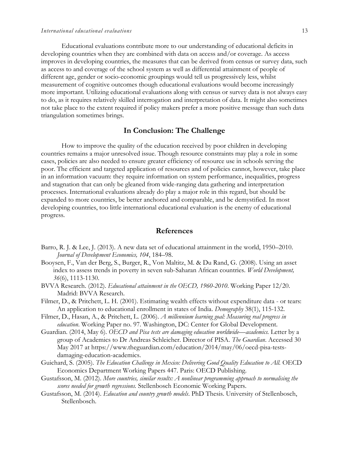Educational evaluations contribute more to our understanding of educational deficits in developing countries when they are combined with data on access and/or coverage. As access improves in developing countries, the measures that can be derived from census or survey data, such as access to and coverage of the school system as well as differential attainment of people of different age, gender or socio-economic groupings would tell us progressively less, whilst measurement of cognitive outcomes though educational evaluations would become increasingly more important. Utilizing educational evaluations along with census or survey data is not always easy to do, as it requires relatively skilled interrogation and interpretation of data. It might also sometimes not take place to the extent required if policy makers prefer a more positive message than such data triangulation sometimes brings.

#### **In Conclusion: The Challenge**

How to improve the quality of the education received by poor children in developing countries remains a major unresolved issue. Though resource constraints may play a role in some cases, policies are also needed to ensure greater efficiency of resource use in schools serving the poor. The efficient and targeted application of resources and of policies cannot, however, take place in an information vacuum: they require information on system performance, inequalities, progress and stagnation that can only be gleaned from wide-ranging data gathering and interpretation processes. International evaluations already do play a major role in this regard, but should be expanded to more countries, be better anchored and comparable, and be demystified. In most developing countries, too little international educational evaluation is the enemy of educational progress.

#### **References**

- Barro, R. J. & Lee, J. (2013). A new data set of educational attainment in the world, 1950–2010. *Journal of Development Economics, 104*, 184–98.
- Booysen, F., Van der Berg, S., Burger, R., Von Maltitz, M. & Du Rand, G. (2008). Using an asset index to assess trends in poverty in seven sub-Saharan African countries. *World Development, 36*(6), 1113-1130.
- BVVA Research. (2012). *Educational attainment in the OECD, 1960-2010*. Working Paper 12/20. Madrid: BVVA Research.
- Filmer, D., & Pritchett, L. H. (2001). Estimating wealth effects without expenditure data or tears: An application to educational enrollment in states of India. *Demography* 38(1), 115-132.
- Filmer, D., Hasan, A., & Pritchett, L. (2006). *A millennium learning goal: Measuring real progress in education*. Working Paper no. 97. Washington, DC: Center for Global Development.
- Guardian. (2014, May 6). *OECD and Pisa tests are damaging education worldwide—academics.* Letter by a group of Academics to Dr Andreas Schleicher. Director of PISA. *The Guardian*. Accessed 30 May 2017 at [https://www.theguardian.com/education/2014/may/06/oecd-pisa-tests](https://www.theguardian.com/education/2014/may/06/oecd-pisa-tests-damaging-education-academics)[damaging-education-academics.](https://www.theguardian.com/education/2014/may/06/oecd-pisa-tests-damaging-education-academics)
- Guichard, S. (2005). *The Education Challenge in Mexico: Delivering Good Quality Education to All.* OECD Economics Department Working Papers 447. Paris: OECD Publishing.
- Gustafsson, M. (2012). *More countries, similar results: A nonlinear programming approach to normalising the scores needed for growth regressions.* Stellenbosch Economic Working Papers.
- Gustafsson, M. (2014). *Education and country growth models*. PhD Thesis. University of Stellenbosch, Stellenbosch.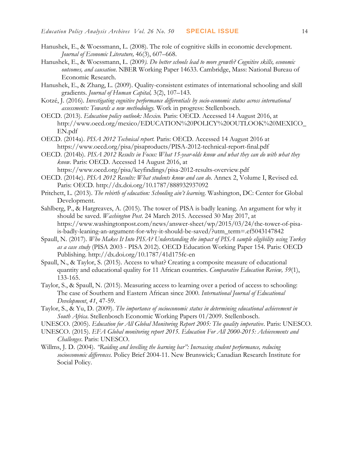- Hanushek, E., & Woessmann, L. (2008). The role of cognitive skills in economic development. *Journal of Economic Literature,* 46(3), 607–668.
- Hanushek, E., & Woessmann, L. (2009*). Do better schools lead to more growth? Cognitive skills, economic outcomes, and causation*. NBER Working Paper 14633. Cambridge, Mass: National Bureau of Economic Research.
- Hanushek, E., & Zhang, L. (2009). Quality-consistent estimates of international schooling and skill gradients. *Journal of Human Capital,* 3(2), 107–143.
- Kotzé, J. (2016). *Investigating cognitive performance differentials by socio-economic status across international assessments: Towards a new methodology.* Work in progress: Stellenbosch.
- OECD. (2013). *Education policy outlook: Mexico.* Paris: OECD. Accessed 14 August 2016, at [http://www.oecd.org/mexico/EDUCATION%20POLICY%20OUTLOOK%20MEXICO\\_](http://www.oecd.org/mexico/EDUCATION%20POLICY%20OUTLOOK%20MEXICO_EN.pdf) [EN.pdf](http://www.oecd.org/mexico/EDUCATION%20POLICY%20OUTLOOK%20MEXICO_EN.pdf)
- OECD. (2014a). *PISA 2012 Technical report.* Paris: OECD. Accessed 14 August 2016 at <https://www.oecd.org/pisa/pisaproducts/PISA-2012-technical-report-final.pdf>
- OECD. (2014b). *PISA 2012 Results in Focus: What 15-year-olds know and what they can do with what they know.* Paris: OECD. Accessed 14 August 2016, at
- <https://www.oecd.org/pisa/keyfindings/pisa-2012-results-overview.pdf> OECD. (2014c). *PISA 2012 Results: What students know and can do*. Annex 2, Volume I, Revised ed. Paris: OECD. http://dx.doi.org/10.1787/888932937092
- Pritchett, L. (2013). *The rebirth of education: Schooling ain't learning*. Washington, DC: Center for Global Development.
- Sahlberg, P., & Hargreaves, A. (2015). The tower of PISA is badly leaning. An argument for why it should be saved. *Washington Post*. 24 March 2015. Accessed 30 May 2017, at [https://www.washingtonpost.com/news/answer-sheet/wp/2015/03/24/the-tower-of-pisa](https://www.washingtonpost.com/news/answer-sheet/wp/2015/03/24/the-tower-of-pisa-is-badly-leaning-an-argument-for-why-it-should-be-saved/?utm_term=.ef5043147842)[is-badly-leaning-an-argument-for-why-it-should-be-saved/?utm\\_term=.ef5043147842](https://www.washingtonpost.com/news/answer-sheet/wp/2015/03/24/the-tower-of-pisa-is-badly-leaning-an-argument-for-why-it-should-be-saved/?utm_term=.ef5043147842)
- Spaull, N. (2017). *Who Makes It Into PISA? Understanding the impact of PISA sample eligibility using Turkey as a case study* (PISA 2003 - PISA 2012). OECD Education Working Paper 154. Paris: OECD Publishing.<http://dx.doi.org/10.1787/41d175fc-en>
- Spaull, N., & Taylor, S. (2015). Access to what? Creating a composite measure of educational quantity and educational quality for 11 African countries. *Comparative Education Review, 59*(1), 133-165.
- Taylor, S., & Spaull, N. (2015). Measuring access to learning over a period of access to schooling: The case of Southern and Eastern African since 2000. *International Journal of Educational Development*, *41*, 47-59.
- Taylor, S., & Yu, D. (2009). *The importance of socioeconomic status in determining educational achievement in South Africa*. Stellenbosch Economic Working Papers 01/2009. Stellenbosch.
- UNESCO. (2005). *Education for All Global Monitoring Report 2005: The quality imperative*. Paris: UNESCO.
- UNESCO. (2015). *EFA Global monitoring report 2015. Education For All 2000-2015: Achievements and Challenges*. Paris: UNESCO.
- Willms, J. D. (2004). *"Raiding and levelling the learning bar": Increasing student performance, reducing socioeconomic differences.* Policy Brief 2004-11. New Brunswick; Canadian Research Institute for Social Policy.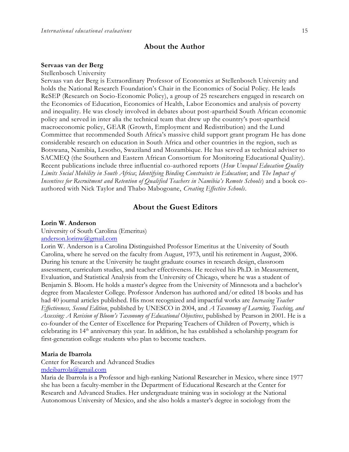### **About the Author**

#### **Servaas van der Berg**

Stellenbosch University

Servaas van der Berg is Extraordinary Professor of Economics at Stellenbosch University and holds the National Research Foundation's Chair in the Economics of Social Policy. He leads ReSEP (Research on Socio-Economic Policy), a group of 25 researchers engaged in research on the Economics of Education, Economics of Health, Labor Economics and analysis of poverty and inequality. He was closely involved in debates about post-apartheid South African economic policy and served in inter alia the technical team that drew up the country's post-apartheid macroeconomic policy, GEAR (Growth, Employment and Redistribution) and the Lund Committee that recommended South Africa's massive child support grant program He has done considerable research on education in South Africa and other countries in the region, such as Botswana, Namibia, Lesotho, Swaziland and Mozambique. He has served as technical adviser to SACMEQ (the Southern and Eastern African Consortium for Monitoring Educational Quality). Recent publications include three influential co-authored reports (*How Unequal Education Quality Limits Social Mobility in South Africa*; *Identifying Binding Constraints in Education*; and *The Impact of Incentives for Recruitment and Retention of Qualified Teachers in Namibia's Remote Schools*) and a book coauthored with Nick Taylor and Thabo Mabogoane, *Creating Effective Schools*.

## **About the Guest Editors**

#### **Lorin W. Anderson**

University of South Carolina (Emeritus) [anderson.lorinw@gmail.com](mailto:anderson.lorinw@gmail.com)

Lorin W. Anderson is a Carolina Distinguished Professor Emeritus at the University of South Carolina, where he served on the faculty from August, 1973, until his retirement in August, 2006. During his tenure at the University he taught graduate courses in research design, classroom assessment, curriculum studies, and teacher effectiveness. He received his Ph.D. in Measurement, Evaluation, and Statistical Analysis from the University of Chicago, where he was a student of Benjamin S. Bloom. He holds a master's degree from the University of Minnesota and a bachelor's degree from Macalester College. Professor Anderson has authored and/or edited 18 books and has had 40 journal articles published. His most recognized and impactful works are *Increasing Teacher Effectiveness, Second Edition*, published by UNESCO in 2004, and *A Taxonomy of Learning, Teaching, and Assessing: A Revision of Bloom's Taxonomy of Educational Objectives*, published by Pearson in 2001. He is a co-founder of the Center of Excellence for Preparing Teachers of Children of Poverty, which is celebrating its 14<sup>th</sup> anniversary this year. In addition, he has established a scholarship program for first-generation college students who plan to become teachers.

#### **Maria de Ibarrola**

Center for Research and Advanced Studies [mdeibarrola@gmail.com](mailto:mdeibarrola@gmail.com)

Maria de Ibarrola is a Professor and high-ranking National Researcher in Mexico, where since 1977 she has been a faculty-member in the Department of Educational Research at the Center for Research and Advanced Studies. Her undergraduate training was in sociology at the National Autonomous University of Mexico, and she also holds a master's degree in sociology from the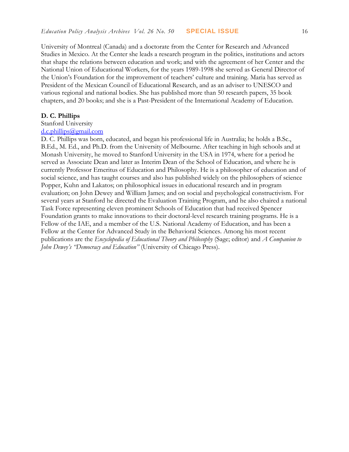University of Montreal (Canada) and a doctorate from the Center for Research and Advanced Studies in Mexico. At the Center she leads a research program in the politics, institutions and actors that shape the relations between education and work; and with the agreement of her Center and the National Union of Educational Workers, for the years 1989-1998 she served as General Director of the Union's Foundation for the improvement of teachers' culture and training. Maria has served as President of the Mexican Council of Educational Research, and as an adviser to UNESCO and various regional and national bodies. She has published more than 50 research papers, 35 book chapters, and 20 books; and she is a Past-President of the International Academy of Education.

#### **D. C. Phillips**

#### Stanford University

#### [d.c.phillips@gmail.com](mailto:d.c.phillips@gmail.com)

D. C. Phillips was born, educated, and began his professional life in Australia; he holds a B.Sc., B.Ed., M. Ed., and Ph.D. from the University of Melbourne. After teaching in high schools and at Monash University, he moved to Stanford University in the USA in 1974, where for a period he served as Associate Dean and later as Interim Dean of the School of Education, and where he is currently Professor Emeritus of Education and Philosophy. He is a philosopher of education and of social science, and has taught courses and also has published widely on the philosophers of science Popper, Kuhn and Lakatos; on philosophical issues in educational research and in program evaluation; on John Dewey and William James; and on social and psychological constructivism. For several years at Stanford he directed the Evaluation Training Program, and he also chaired a national Task Force representing eleven prominent Schools of Education that had received Spencer Foundation grants to make innovations to their doctoral-level research training programs. He is a Fellow of the IAE, and a member of the U.S. National Academy of Education, and has been a Fellow at the Center for Advanced Study in the Behavioral Sciences. Among his most recent publications are the *Encyclopedia of Educational Theory and Philosophy* (Sage; editor) and *A Companion to John Dewey's "Democracy and Education"* (University of Chicago Press).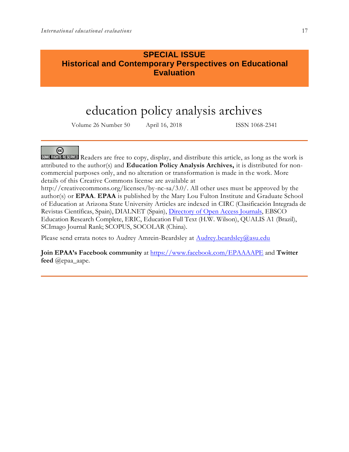## **SPECIAL ISSUE Historical and Contemporary Perspectives on Educational Evaluation**

# education policy analysis archives

Volume 26 Number 50 April 16, 2018 ISSN 1068-2341



SOME RIGHTS RESERVED Readers are free to copy, display, and distribute this article, as long as the work is attributed to the author(s) and **Education Policy Analysis Archives,** it is distributed for noncommercial purposes only, and no alteration or transformation is made in the work. More details of this Creative Commons license are available at

http://creativecommons.org/licenses/by-nc-sa/3.0/. All other uses must be approved by the author(s) or **EPAA**. **EPAA** is published by the Mary Lou Fulton Institute and Graduate School of Education at Arizona State University Articles are indexed in CIRC (Clasificación Integrada de Revistas Científicas, Spain), DIALNET (Spain), [Directory of Open Access Journals,](http://www.doaj.org/) EBSCO Education Research Complete, ERIC, Education Full Text (H.W. Wilson), QUALIS A1 (Brazil), SCImago Journal Rank; SCOPUS, SOCOLAR (China).

Please send errata notes to Audrey Amrein-Beardsley at **Audrey.beardsley@asu.edu** 

**Join EPAA's Facebook community** at<https://www.facebook.com/EPAAAAPE> and **Twitter feed** @epaa\_aape.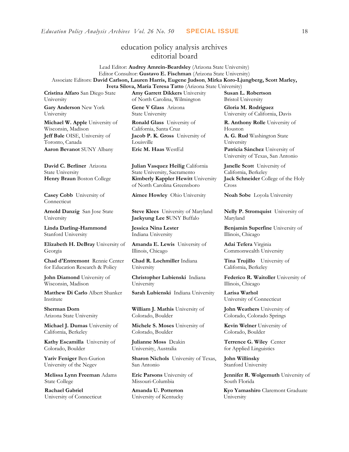## education policy analysis archives editorial board

Lead Editor: **Audrey Amrein-Beardsley** (Arizona State University) Editor Consultor: **Gustavo E. Fischman** (Arizona State University) Associate Editors: **David Carlson, Lauren Harris, Eugene Judson**, **Mirka Koro-Ljungberg, Scott Marley, Iveta Silova, Maria Teresa Tatto** (Arizona State University)

**Cristina Alfaro** San Diego State University

**Gary Anderson** New York University

**Michael W. Apple** University of Wisconsin, Madison **Jeff Bale** OISE, University of Toronto, Canada **Aaron Bevanot** SUNY Albany **Eric M. Haas** WestEd **Patricia Sánchez** University of

**David C. Berliner** Arizona State University

**Casey Cobb** University of Connecticut

**Arnold Danzig** San Jose State University

**Linda Darling-Hammond**  Stanford University

**Elizabeth H. DeBray** University of Georgia

**Chad d'Entremont** Rennie Center for Education Research & Policy

**John Diamond** University of Wisconsin, Madison

**Matthew Di Carlo** Albert Shanker Institute

**Sherman Dorn** Arizona State University

**Michael J. Dumas** University of California, Berkeley

**Kathy Escamilla** University of Colorado, Boulder

**Yariv Feniger** Ben-Gurion University of the Negev

**Melissa Lynn Freeman** Adams State College

**Rachael Gabriel** University of Connecticut **Amy Garrett Dikkers** University of North Carolina, Wilmington

**Gene V Glass** Arizona State University

**Ronald Glass** University of California, Santa Cruz **Jacob P. K. Gross** University of Louisville

**Julian Vasquez Heilig** California State University, Sacramento **Henry Braun** Boston College **Kimberly Kappler Hewitt** University of North Carolina Greensboro

**Aimee Howley** Ohio University **Noah Sobe** Loyola University

**Steve Klees** University of Maryland **Jaekyung Lee S**UNY Buffalo

**Jessica Nina Lester** Indiana University

**Amanda E. Lewis** University of Illinois, Chicago

**Chad R. Lochmiller** Indiana University

**Christopher Lubienski** Indiana University

**Sarah Lubienski** Indiana University **Larisa Warhol**

**William J. Mathis** University of Colorado, Boulder

**Michele S. Moses** University of Colorado, Boulder

**Julianne Moss** Deakin University, Australia

**Sharon Nichols** University of Texas, San Antonio

**Eric Parsons** University of Missouri-Columbia

**Amanda U. Potterton** University of Kentucky **Susan L. Robertson** Bristol University

**Gloria M. Rodriguez** University of California, Davis

**R. Anthony Rolle** University of Houston

**A. G. Rud** Washington State University

University of Texas, San Antonio

**Janelle Scott** University of California, Berkeley **Jack Schneider** College of the Holy Cross

**Nelly P. Stromquist** University of Maryland

**Benjamin Superfine** University of Illinois, Chicago

**Adai Tefera** Virginia Commonwealth University

**Tina Trujillo** University of California, Berkeley

**Federico R. Waitoller** University of Illinois, Chicago

University of Connecticut

**John Weathers** University of Colorado, Colorado Springs

**Kevin Welner** University of Colorado, Boulder

**Terrence G. Wiley** Center for Applied Linguistics

**John Willinsky**  Stanford University

**Jennifer R. Wolgemuth** University of South Florida

**Kyo Yamashiro** Claremont Graduate University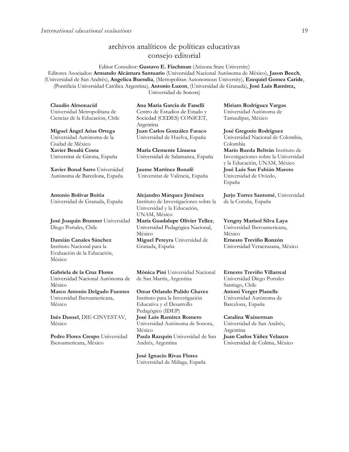## archivos analíticos de políticas educativas consejo editorial

Editor Consultor: **Gustavo E. Fischman** (Arizona State University) Editores Asociados: **Armando Alcántara Santuario** (Universidad Nacional Autónoma de México), **Jason Beech**, (Universidad de San Andrés), **Angelica Buendia**, (Metropolitan Autonomous University), **Ezequiel Gomez Caride**, (Pontificia Universidad Católica Argentina), **Antonio Luzon**, (Universidad de Granada), **José Luis Ramírez,** Universidad de Sonora)

**Claudio Almonacid** Universidad Metropolitana de Ciencias de la Educación, Chile

**Miguel Ángel Arias Ortega**  Universidad Autónoma de la Ciudad de México **Xavier Besalú Costa**  Universitat de Girona, España

**[Xavier Bonal](javascript:openRTWindow() Sarro** Universidad Autónoma de Barcelona, España

**[Antonio Bolívar](javascript:openRTWindow() Boitia** Universidad de Granada, España

**[José Joaquín Brunner](javascript:openRTWindow()** Universidad Diego Portales, Chile

#### **[Damián Canales Sánchez](javascript:openRTWindow()** Instituto Nacional para la Evaluación de la Educación, México

**Gabriela de la Cruz Flores** Universidad Nacional Autónoma de México **[Marco Antonio Delgado Fuentes](javascript:openRTWindow()** Universidad Iberoamericana, México

**[Inés Dussel](javascript:openRTWindow()**, DIE-CINVESTAV, México

**[Pedro Flores Crespo](javascript:openRTWindow()** Universidad Iberoamericana, México

**Ana María García de Fanelli**  Centro de Estudios de Estado y Sociedad (CEDES) CONICET, Argentina **Juan Carlos González Faraco**  Universidad de Huelva, España

**María Clemente Linuesa**  Universidad de Salamanca, España

**Jaume Martínez Bonafé** Universitat de València, España

**Alejandro Márquez Jiménez**  Instituto de Investigaciones sobre la Universidad y la Educación, UNAM, México

**María Guadalupe Olivier Tellez**, Universidad Pedagógica Nacional, México **[Miguel Pereyra](javascript:openRTWindow()** Universidad de

Granada, España

**[Mónica Pini](javascript:openRTWindow()** Universidad Nacional de San Martín, Argentina

**Omar Orlando Pulido Chaves** Instituto para la Investigación Educativa y el Desarrollo Pedagógico (IDEP) **[José Luis Ramírez](javascript:openRTWindow() Romero** Universidad Autónoma de Sonora, México **[Paula Razquin](javascript:openRTWindow()** Universidad de San Andrés, Argentina

**José Ignacio Rivas Flores** Universidad de Málaga, España **[Miriam Rodríguez Vargas](javascript:openRTWindow()** Universidad Autónoma de Tamaulipas, México

**José Gregorio Rodríguez**  Universidad Nacional de Colombia, Colombia **[Mario Rueda Beltrán](javascript:openRTWindow()** Instituto de Investigaciones sobre la Universidad y la Educación, UNAM, México **José Luis San Fabián Maroto**  Universidad de Oviedo, España

**[Jurjo Torres Santomé](javascript:openRTWindow()**, Universidad de la Coruña, España

**[Yengny Marisol Silva Laya](javascript:openRTWindow()** Universidad Iberoamericana, México

**Ernesto Treviño Ronzón** Universidad Veracruzana, México

**[Ernesto Treviño](javascript:openRTWindow() Villarreal** Universidad Diego Portales Santiago, Chile **[Antoni Verger Planells](javascript:openRTWindow()** Universidad Autónoma de Barcelona, España

**[Catalina Wainerman](javascript:openRTWindow()** Universidad de San Andrés, Argentina **Juan Carlos Yáñez Velazco** Universidad de Colima, México